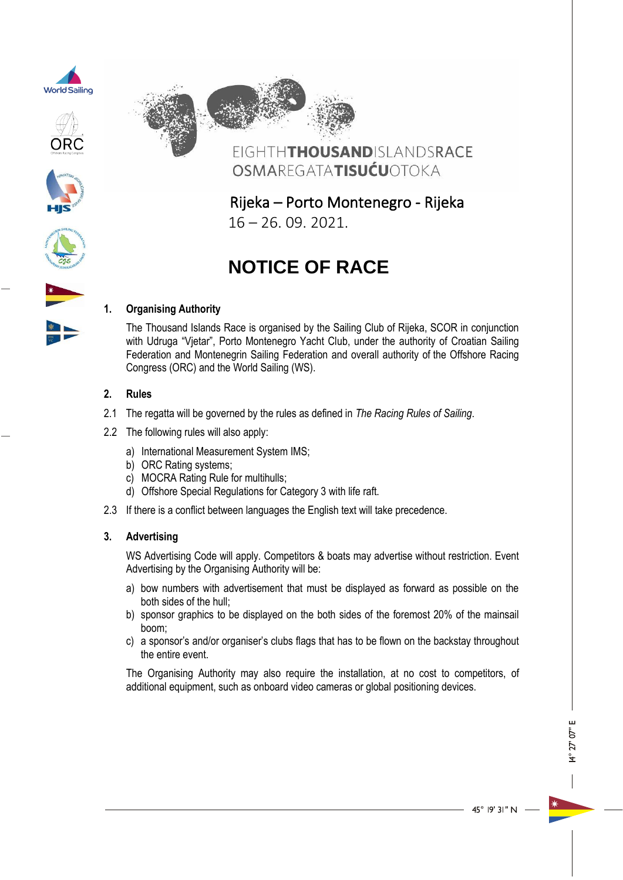









Rijeka – Porto Montenegro - Rijeka 16 – 26. 09. 2021.

# **NOTICE OF RACE**

# **1. Organising Authority**

The Thousand Islands Race is organised by the Sailing Club of Rijeka, SCOR in conjunction with Udruga "Vjetar", Porto Montenegro Yacht Club, under the authority of Croatian Sailing Federation and Montenegrin Sailing Federation and overall authority of the Offshore Racing Congress (ORC) and the World Sailing (WS).

## **2. Rules**

- 2.1 The regatta will be governed by the rules as defined in *The Racing Rules of Sailing*.
- 2.2 The following rules will also apply:
	- a) International Measurement System IMS;
	- b) ORC Rating systems;
	- c) MOCRA Rating Rule for multihulls;
	- d) Offshore Special Regulations for Category 3 with life raft.
- 2.3 If there is a conflict between languages the English text will take precedence.

## **3. Advertising**

WS Advertising Code will apply. Competitors & boats may advertise without restriction. Event Advertising by the Organising Authority will be:

- a) bow numbers with advertisement that must be displayed as forward as possible on the both sides of the hull;
- b) sponsor graphics to be displayed on the both sides of the foremost 20% of the mainsail boom;
- c) a sponsor's and/or organiser's clubs flags that has to be flown on the backstay throughout the entire event.

The Organising Authority may also require the installation, at no cost to competitors, of additional equipment, such as onboard video cameras or global positioning devices.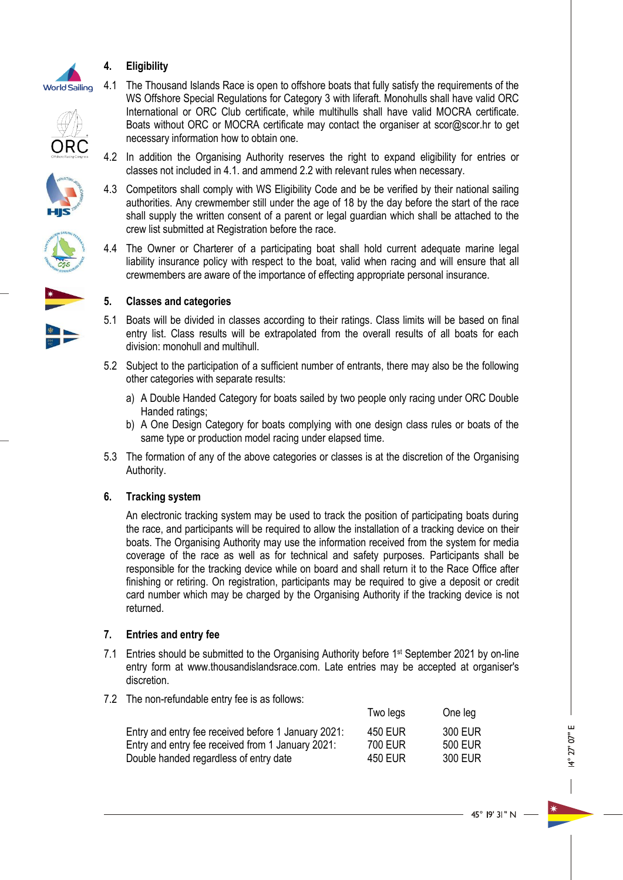

# **4. Eligibility**

- 
- 









necessary information how to obtain one.

crew list submitted at Registration before the race.

5.1 Boats will be divided in classes according to their ratings. Class limits will be based on final entry list. Class results will be extrapolated from the overall results of all boats for each division: monohull and multihull.

4.1 The Thousand Islands Race is open to offshore boats that fully satisfy the requirements of the WS Offshore Special Regulations for Category 3 with liferaft. Monohulls shall have valid ORC International or ORC Club certificate, while multihulls shall have valid MOCRA certificate. Boats without ORC or MOCRA certificate may contact the organiser at scor@scor.hr to get

4.2 In addition the Organising Authority reserves the right to expand eligibility for entries or classes not included in 4.1. and ammend 2.2 with relevant rules when necessary.

4.3 Competitors shall comply with WS Eligibility Code and be be verified by their national sailing authorities. Any crewmember still under the age of 18 by the day before the start of the race shall supply the written consent of a parent or legal guardian which shall be attached to the

4.4 The Owner or Charterer of a participating boat shall hold current adequate marine legal liability insurance policy with respect to the boat, valid when racing and will ensure that all crewmembers are aware of the importance of effecting appropriate personal insurance.

- 5.2 Subject to the participation of a sufficient number of entrants, there may also be the following other categories with separate results:
	- a) A Double Handed Category for boats sailed by two people only racing under ORC Double Handed ratings;
	- b) A One Design Category for boats complying with one design class rules or boats of the same type or production model racing under elapsed time.
- 5.3 The formation of any of the above categories or classes is at the discretion of the Organising Authority.

# **6. Tracking system**

An electronic tracking system may be used to track the position of participating boats during the race, and participants will be required to allow the installation of a tracking device on their boats. The Organising Authority may use the information received from the system for media coverage of the race as well as for technical and safety purposes. Participants shall be responsible for the tracking device while on board and shall return it to the Race Office after finishing or retiring. On registration, participants may be required to give a deposit or credit card number which may be charged by the Organising Authority if the tracking device is not returned.

## **7. Entries and entry fee**

- 7.1 Entries should be submitted to the Organising Authority before 1<sup>st</sup> September 2021 by on-line entry form at www.thousandislandsrace.com. Late entries may be accepted at organiser's discretion.
- 7.2 The non-refundable entry fee is as follows:

| 300 EUR        |
|----------------|
| <b>500 EUR</b> |
| 300 EUR        |
|                |

Two legs One leg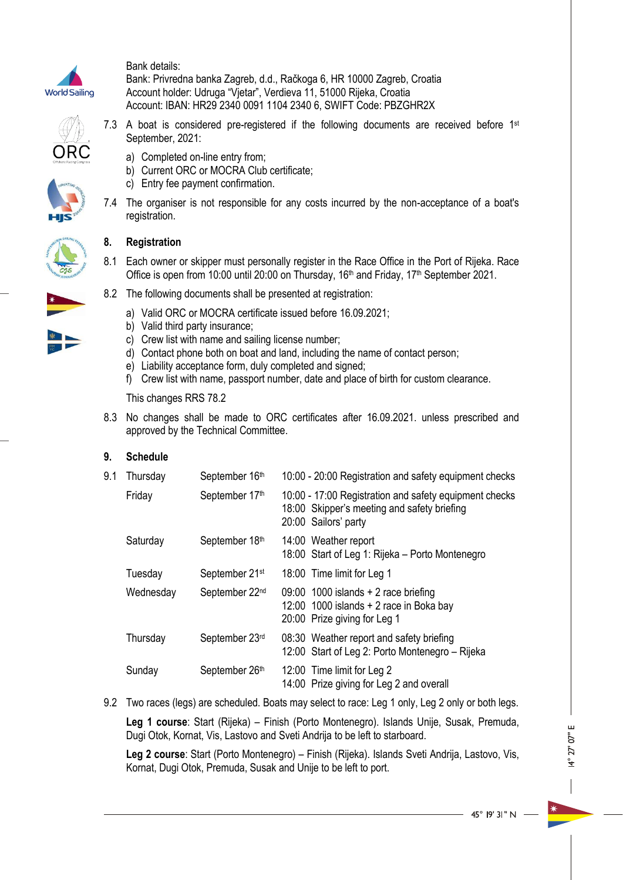

Bank details:

Bank: Privredna banka Zagreb, d.d., Račkoga 6, HR 10000 Zagreb, Croatia Account holder: Udruga "Vjetar", Verdieva 11, 51000 Rijeka, Croatia Account: IBAN: HR29 2340 0091 1104 2340 6, SWIFT Code: PBZGHR2X





#### 7.3 A boat is considered pre-registered if the following documents are received before 1st September, 2021:

- a) Completed on-line entry from;
- b) Current ORC or MOCRA Club certificate;
- c) Entry fee payment confirmation.
- 7.4 The organiser is not responsible for any costs incurred by the non-acceptance of a boat's registration.

# **8. Registration**

- 8.1 Each owner or skipper must personally register in the Race Office in the Port of Rijeka. Race Office is open from 10:00 until 20:00 on Thursday, 16<sup>th</sup> and Friday, 17<sup>th</sup> September 2021.
- 8.2 The following documents shall be presented at registration:
	- a) Valid ORC or MOCRA certificate issued before 16.09.2021;
	- b) Valid third party insurance;
	- c) Crew list with name and sailing license number;
	- d) Contact phone both on boat and land, including the name of contact person;
	- e) Liability acceptance form, duly completed and signed;
	- f) Crew list with name, passport number, date and place of birth for custom clearance.

This changes RRS 78.2

8.3 No changes shall be made to ORC certificates after 16.09.2021. unless prescribed and approved by the Technical Committee.

## **9. Schedule**

| 9.1 | Thursday  | September 16th             | 10:00 - 20:00 Registration and safety equipment checks                                                                        |
|-----|-----------|----------------------------|-------------------------------------------------------------------------------------------------------------------------------|
|     | Friday    | September 17th             | 10:00 - 17:00 Registration and safety equipment checks<br>18:00 Skipper's meeting and safety briefing<br>20:00 Sailors' party |
|     | Saturday  | September 18th             | 14:00 Weather report<br>18:00 Start of Leg 1: Rijeka - Porto Montenegro                                                       |
|     | Tuesday   | September 21 <sup>st</sup> | 18:00 Time limit for Leg 1                                                                                                    |
|     | Wednesday | September 22 <sup>nd</sup> | 09:00 1000 islands $+2$ race briefing<br>12:00 1000 islands $+2$ race in Boka bay<br>20:00 Prize giving for Leg 1             |
|     | Thursday  | September 23rd             | 08:30 Weather report and safety briefing<br>12:00 Start of Leg 2: Porto Montenegro - Rijeka                                   |
|     | Sunday    | September 26th             | 12:00 Time limit for Leg 2<br>14:00 Prize giving for Leg 2 and overall                                                        |
|     |           |                            |                                                                                                                               |

9.2 Two races (legs) are scheduled. Boats may select to race: Leg 1 only, Leg 2 only or both legs.

**Leg 1 course**: Start (Rijeka) – Finish (Porto Montenegro). Islands Unije, Susak, Premuda, Dugi Otok, Kornat, Vis, Lastovo and Sveti Andrija to be left to starboard.

**Leg 2 course**: Start (Porto Montenegro) – Finish (Rijeka). Islands Sveti Andrija, Lastovo, Vis, Kornat, Dugi Otok, Premuda, Susak and Unije to be left to port.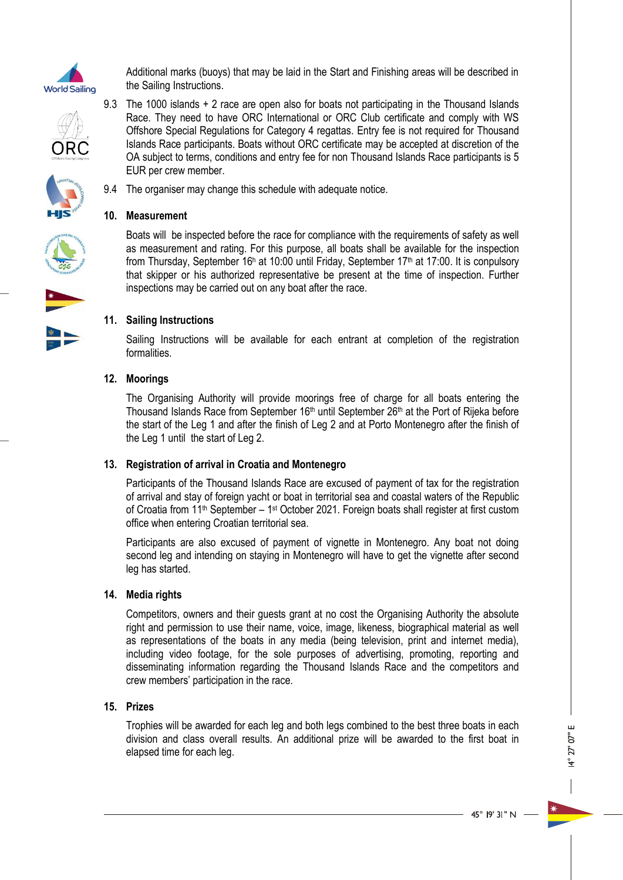

Additional marks (buoys) that may be laid in the Start and Finishing areas will be described in the Sailing Instructions.

9.3 The 1000 islands + 2 race are open also for boats not participating in the Thousand Islands Race. They need to have ORC International or ORC Club certificate and comply with WS Offshore Special Regulations for Category 4 regattas. Entry fee is not required for Thousand Islands Race participants. Boats without ORC certificate may be accepted at discretion of the OA subject to terms, conditions and entry fee for non Thousand Islands Race participants is 5





**10. Measurement**

EUR per crew member.

9.4 The organiser may change this schedule with adequate notice.

Boats will be inspected before the race for compliance with the requirements of safety as well as measurement and rating. For this purpose, all boats shall be available for the inspection from Thursday, September 16<sup>h</sup> at 10:00 until Friday, September 17<sup>th</sup> at 17:00. It is conpulsory that skipper or his authorized representative be present at the time of inspection. Further inspections may be carried out on any boat after the race.

## **11. Sailing Instructions**

Sailing Instructions will be available for each entrant at completion of the registration formalities.

## **12. Moorings**

The Organising Authority will provide moorings free of charge for all boats entering the Thousand Islands Race from September 16<sup>th</sup> until September 26<sup>th</sup> at the Port of Rijeka before the start of the Leg 1 and after the finish of Leg 2 and at Porto Montenegro after the finish of the Leg 1 until the start of Leg 2.

#### **13. Registration of arrival in Croatia and Montenegro**

Participants of the Thousand Islands Race are excused of payment of tax for the registration of arrival and stay of foreign yacht or boat in territorial sea and coastal waters of the Republic of Croatia from 11<sup>th</sup> September – 1<sup>st</sup> October 2021. Foreign boats shall register at first custom office when entering Croatian territorial sea.

Participants are also excused of payment of vignette in Montenegro. Any boat not doing second leg and intending on staying in Montenegro will have to get the vignette after second leg has started.

#### **14. Media rights**

Competitors, owners and their guests grant at no cost the Organising Authority the absolute right and permission to use their name, voice, image, likeness, biographical material as well as representations of the boats in any media (being television, print and internet media), including video footage, for the sole purposes of advertising, promoting, reporting and disseminating information regarding the Thousand Islands Race and the competitors and crew members' participation in the race.

#### **15. Prizes**

Trophies will be awarded for each leg and both legs combined to the best three boats in each division and class overall results. An additional prize will be awarded to the first boat in elapsed time for each leg.